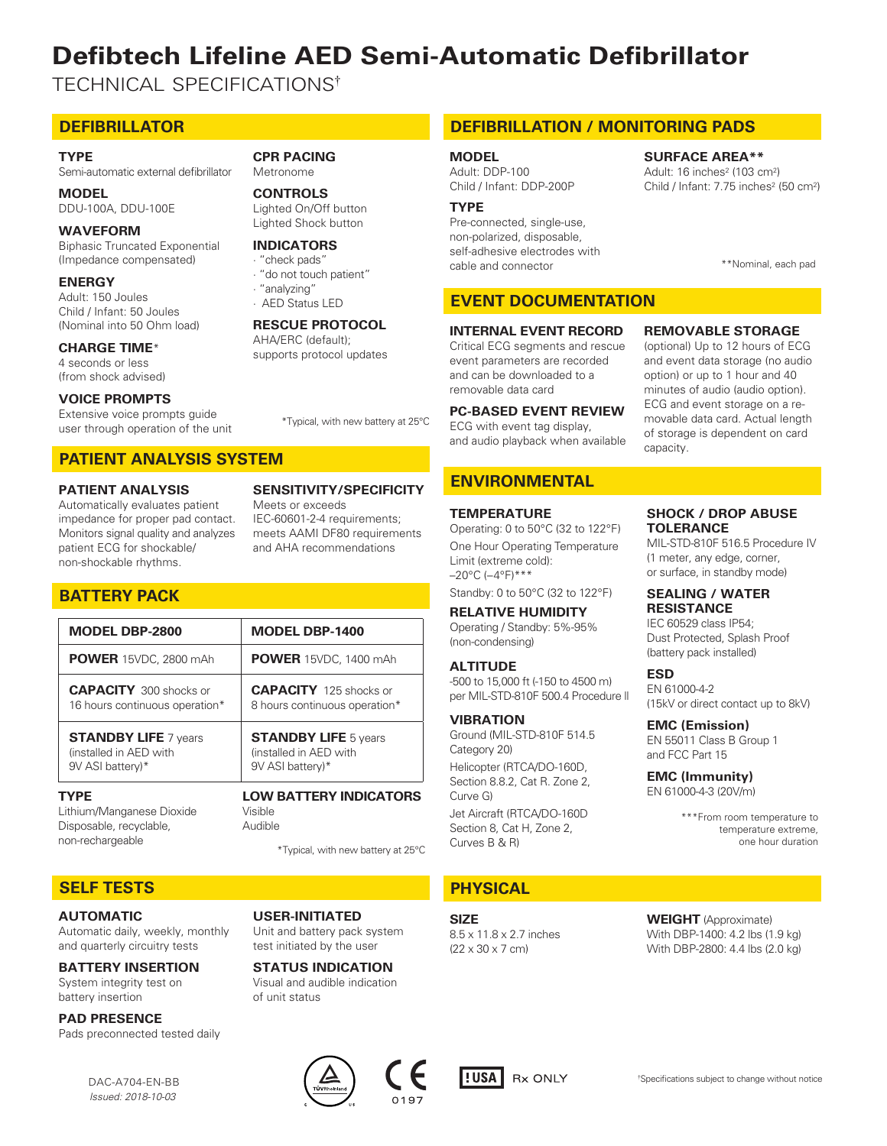# **Defibtech Lifeline AED Semi-Automatic Defibrillator**

TECHNICAL SPECIFICATIONS†

### **DEFIBRILLATOR**

#### **TYPE**

Semi-automatic external defibrillator

**MODEL**  DDU-100A, DDU-100E

**WAVEFORM**  Biphasic Truncated Exponential (Impedance compensated)

**ENERGY**  Adult: 150 Joules Child / Infant: 50 Joules (Nominal into 50 Ohm load)

**CHARGE TIME**\* 4 seconds or less (from shock advised)

### **VOICE PROMPTS**

Extensive voice prompts guide user through operation of the unit

### **PATIENT ANALYSIS SYSTEM**

### **PATIENT ANALYSIS**

**BATTERY PACK**

Automatically evaluates patient impedance for proper pad contact. Monitors signal quality and analyzes patient ECG for shockable/ non-shockable rhythms.

#### **SENSITIVITY/SPECIFICITY**  Meets or exceeds

\*Typical, with new battery at 25°C

IEC-60601-2-4 requirements; meets AAMI DF80 requirements and AHA recommendations

### **TYPE MODEL DBP-2800 MODEL DBP-1400 POWER** 15VDC, 2800 mAh **POWER** 15VDC, 1400 mAh **CAPACITY** 300 shocks or 16 hours continuous operation\* **CAPACITY** 125 shocks or 8 hours continuous operation\* **STANDBY LIFE** 7 years (installed in AED with 9V ASI battery)\* **STANDBY LIFE** 5 years (installed in AED with 9V ASI battery)\*

Lithium/Manganese Dioxide Disposable, recyclable, non-rechargeable

**LOW BATTERY INDICATORS**

\*Typical, with new battery at 25°C

# **SELF TESTS**

**AUTOMATIC**  Automatic daily, weekly, monthly and quarterly circuitry tests

**BATTERY INSERTION**  System integrity test on battery insertion

**PAD PRESENCE**  Pads preconnected tested daily **USER-INITIATED**  Unit and battery pack system test initiated by the user

**STATUS INDICATION**  Visual and audible indication of unit status

# **DEFIBRILLATION / MONITORING PADS**

### **MODEL**

Adult: DDP-100 Child / Infant: DDP-200P

### **TYPE**

Pre-connected, single-use, non-polarized, disposable, self-adhesive electrodes with cable and connector

### **EVENT DOCUMENTATION**

### **INTERNAL EVENT RECORD**

Critical ECG segments and rescue event parameters are recorded and can be downloaded to a removable data card

### **PC-BASED EVENT REVIEW**

ECG with event tag display, and audio playback when available

### **ENVIRONMENTAL**

### **TEMPERATURE**

Operating: 0 to 50°C (32 to 122°F) One Hour Operating Temperature Limit (extreme cold): –20°C (–4°F)\*\*\*

Standby: 0 to 50°C (32 to 122°F)

**RELATIVE HUMIDITY**  Operating / Standby: 5%-95% (non-condensing)

### **ALTITUDE**

-500 to 15,000 ft (-150 to 4500 m) per MIL-STD-810F 500.4 Procedure ll

### **VIBRATION**

Ground (MIL-STD-810F 514.5 Category 20) Helicopter (RTCA/DO-160D, Section 8.8.2, Cat R. Zone 2, Curve G)

Jet Aircraft (RTCA/DO-160D Section 8, Cat H, Zone 2, Curves B & R)

## **PHYSICAL**

**SIZE**  8.5 x 11.8 x 2.7 inches (22 x 30 x 7 cm)

**WEIGHT** (Approximate) With DBP-1400: 4.2 lbs (1.9 kg) With DBP-2800: 4.4 lbs (2.0 kg)





**SURFACE AREA\*\***  Adult: 16 inches<sup>2</sup> (103 cm<sup>2</sup>) Child / Infant: 7.75 inches<sup>2</sup> (50 cm<sup>2</sup>)

\*\*Nominal, each pad

### **REMOVABLE STORAGE**

(optional) Up to 12 hours of ECG and event data storage (no audio option) or up to 1 hour and 40 minutes of audio (audio option). ECG and event storage on a removable data card. Actual length of storage is dependent on card capacity.

### **SHOCK / DROP ABUSE TOLERANCE**

MIL-STD-810F 516.5 Procedure IV (1 meter, any edge, corner, or surface, in standby mode)

### **SEALING / WATER RESISTANCE**

IEC 60529 class IP54; Dust Protected, Splash Proof (battery pack installed)

**ESD**  EN 61000-4-2 (15kV or direct contact up to 8kV)

### **EMC (Emission)**

EN 55011 Class B Group 1 and FCC Part 15

**EMC (Immunity)**  EN 61000-4-3 (20V/m)

> \*\*\*From room temperature to temperature extreme, one hour duration

Issued: 2018-10-03

Visible Audible

AHA/ERC (default); supports protocol updates

**RESCUE PROTOCOL**

**CPR PACING**  Metronome **CONTROLS**  Lighted On/Off button Lighted Shock button **INDICATORS**  · "check pads" · "do not touch patient"

· "analyzing" · AED Status LED